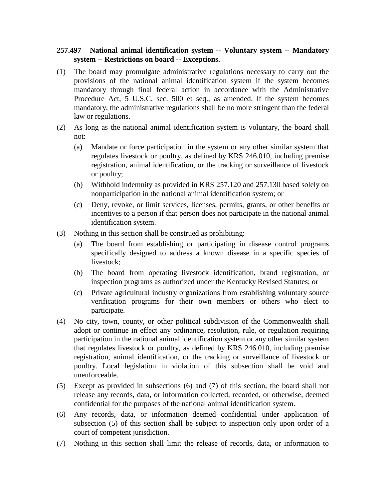## **257.497 National animal identification system -- Voluntary system -- Mandatory system -- Restrictions on board -- Exceptions.**

- (1) The board may promulgate administrative regulations necessary to carry out the provisions of the national animal identification system if the system becomes mandatory through final federal action in accordance with the Administrative Procedure Act, 5 U.S.C. sec. 500 et seq., as amended. If the system becomes mandatory, the administrative regulations shall be no more stringent than the federal law or regulations.
- (2) As long as the national animal identification system is voluntary, the board shall not:
	- (a) Mandate or force participation in the system or any other similar system that regulates livestock or poultry, as defined by KRS 246.010, including premise registration, animal identification, or the tracking or surveillance of livestock or poultry;
	- (b) Withhold indemnity as provided in KRS 257.120 and 257.130 based solely on nonparticipation in the national animal identification system; or
	- (c) Deny, revoke, or limit services, licenses, permits, grants, or other benefits or incentives to a person if that person does not participate in the national animal identification system.
- (3) Nothing in this section shall be construed as prohibiting:
	- (a) The board from establishing or participating in disease control programs specifically designed to address a known disease in a specific species of livestock;
	- (b) The board from operating livestock identification, brand registration, or inspection programs as authorized under the Kentucky Revised Statutes; or
	- (c) Private agricultural industry organizations from establishing voluntary source verification programs for their own members or others who elect to participate.
- (4) No city, town, county, or other political subdivision of the Commonwealth shall adopt or continue in effect any ordinance, resolution, rule, or regulation requiring participation in the national animal identification system or any other similar system that regulates livestock or poultry, as defined by KRS 246.010, including premise registration, animal identification, or the tracking or surveillance of livestock or poultry. Local legislation in violation of this subsection shall be void and unenforceable.
- (5) Except as provided in subsections (6) and (7) of this section, the board shall not release any records, data, or information collected, recorded, or otherwise, deemed confidential for the purposes of the national animal identification system.
- (6) Any records, data, or information deemed confidential under application of subsection (5) of this section shall be subject to inspection only upon order of a court of competent jurisdiction.
- (7) Nothing in this section shall limit the release of records, data, or information to